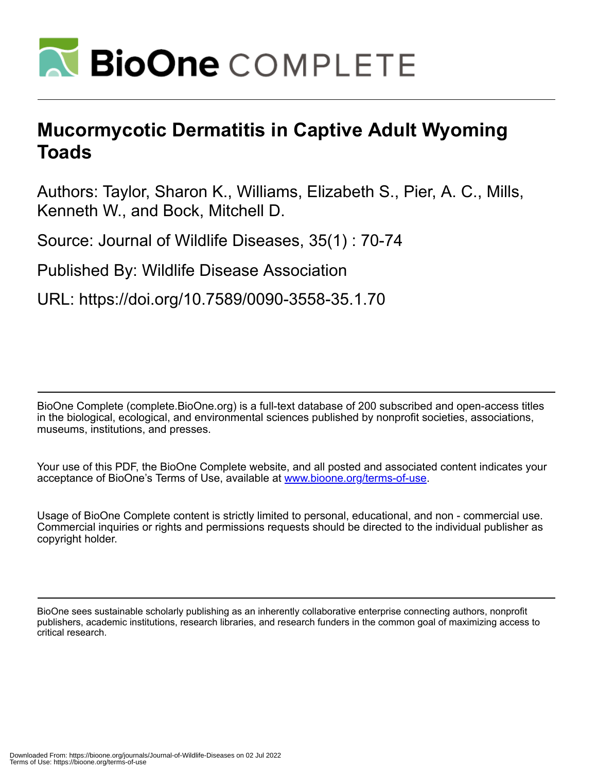

## **Mucormycotic Dermatitis in Captive Adult Wyoming Toads**

Authors: Taylor, Sharon K., Williams, Elizabeth S., Pier, A. C., Mills, Kenneth W., and Bock, Mitchell D.

Source: Journal of Wildlife Diseases, 35(1) : 70-74

Published By: Wildlife Disease Association

URL: https://doi.org/10.7589/0090-3558-35.1.70

BioOne Complete (complete.BioOne.org) is a full-text database of 200 subscribed and open-access titles in the biological, ecological, and environmental sciences published by nonprofit societies, associations, museums, institutions, and presses.

Your use of this PDF, the BioOne Complete website, and all posted and associated content indicates your acceptance of BioOne's Terms of Use, available at www.bioone.org/terms-of-use.

Usage of BioOne Complete content is strictly limited to personal, educational, and non - commercial use. Commercial inquiries or rights and permissions requests should be directed to the individual publisher as copyright holder.

BioOne sees sustainable scholarly publishing as an inherently collaborative enterprise connecting authors, nonprofit publishers, academic institutions, research libraries, and research funders in the common goal of maximizing access to critical research.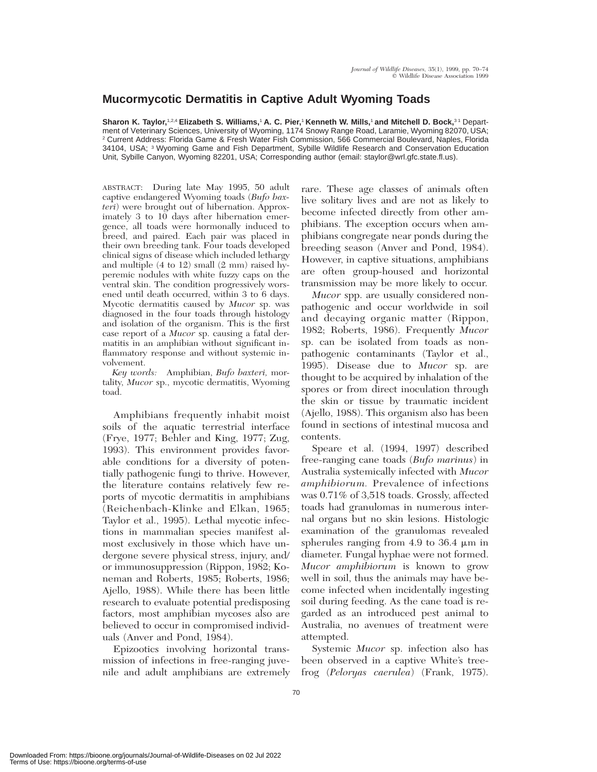## **Mucormycotic Dermatitis in Captive Adult Wyoming Toads**

**Sharon K. Taylor,**1,2,4 **Elizabeth S. Williams,**<sup>1</sup> **A. C. Pier,**<sup>1</sup> **Kenneth W. Mills,**<sup>1</sup> **and Mitchell D. Bock,**3 1 Department of Veterinary Sciences, University of Wyoming, 1174 Snowy Range Road, Laramie, Wyoming 82070, USA; <sup>2</sup> Current Address: Florida Game & Fresh Water Fish Commission, 566 Commercial Boulevard, Naples, Florida 34104, USA; <sup>3</sup> Wyoming Game and Fish Department, Sybille Wildlife Research and Conservation Education Unit, Sybille Canyon, Wyoming 82201, USA; Corresponding author (email: staylor@wrl.gfc.state.fl.us).

ABSTRACT: During late May 1995, 50 adult captive endangered Wyoming toads (*Bufo baxteri*) were brought out of hibernation. Approximately 3 to 10 days after hibernation emergence, all toads were hormonally induced to breed, and paired. Each pair was placed in their own breeding tank. Four toads developed clinical signs of disease which included lethargy and multiple (4 to 12) small (2 mm) raised hyperemic nodules with white fuzzy caps on the ventral skin. The condition progressively worsened until death occurred, within 3 to 6 days. Mycotic dermatitis caused by *Mucor* sp. was diagnosed in the four toads through histology and isolation of the organism. This is the first case report of a *Mucor* sp. causing a fatal dermatitis in an amphibian without significant inflammatory response and without systemic involvement.

*Key words:* Amphibian, *Bufo baxteri,* mortality, *Mucor* sp., mycotic dermatitis, Wyoming toad.

Amphibians frequently inhabit moist soils of the aquatic terrestrial interface (Frye, 1977; Behler and King, 1977; Zug, 1993). This environment provides favorable conditions for a diversity of potentially pathogenic fungi to thrive. However, the literature contains relatively few reports of mycotic dermatitis in amphibians (Reichenbach-Klinke and Elkan, 1965; Taylor et al., 1995). Lethal mycotic infections in mammalian species manifest almost exclusively in those which have undergone severe physical stress, injury, and/ or immunosuppression (Rippon, 1982; Koneman and Roberts, 1985; Roberts, 1986; Ajello, 1988). While there has been little research to evaluate potential predisposing factors, most amphibian mycoses also are believed to occur in compromised individuals (Anver and Pond, 1984).

Epizootics involving horizontal transmission of infections in free-ranging juvenile and adult amphibians are extremely rare. These age classes of animals often live solitary lives and are not as likely to become infected directly from other amphibians. The exception occurs when amphibians congregate near ponds during the breeding season (Anver and Pond, 1984). However, in captive situations, amphibians are often group-housed and horizontal transmission may be more likely to occur.

*Mucor* spp. are usually considered nonpathogenic and occur worldwide in soil and decaying organic matter (Rippon, 1982; Roberts, 1986). Frequently *Mucor* sp. can be isolated from toads as nonpathogenic contaminants (Taylor et al., 1995). Disease due to *Mucor* sp. are thought to be acquired by inhalation of the spores or from direct inoculation through the skin or tissue by traumatic incident (Ajello, 1988). This organism also has been found in sections of intestinal mucosa and contents.

Speare et al. (1994, 1997) described free-ranging cane toads (*Bufo marinus*) in Australia systemically infected with *Mucor amphibiorum.* Prevalence of infections was 0.71% of 3,518 toads. Grossly, affected toads had granulomas in numerous internal organs but no skin lesions. Histologic examination of the granulomas revealed spherules ranging from 4.9 to 36.4  $\mu$ m in diameter. Fungal hyphae were not formed. *Mucor amphibiorum* is known to grow well in soil, thus the animals may have become infected when incidentally ingesting soil during feeding. As the cane toad is regarded as an introduced pest animal to Australia, no avenues of treatment were attempted.

Systemic *Mucor* sp. infection also has been observed in a captive White's treefrog (*Peloryas caerulea*) (Frank, 1975).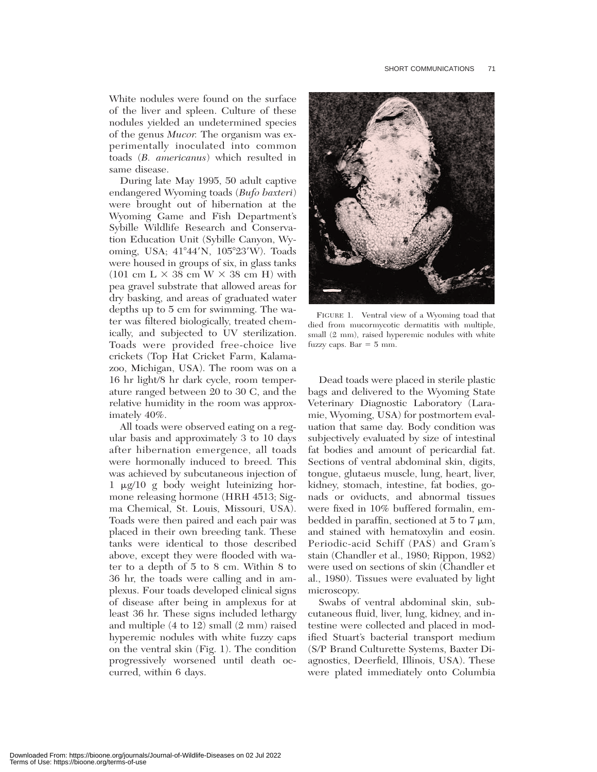White nodules were found on the surface of the liver and spleen. Culture of these nodules yielded an undetermined species of the genus *Mucor.* The organism was experimentally inoculated into common toads (*B. americanus*) which resulted in same disease.

During late May 1995, 50 adult captive endangered Wyoming toads (*Bufo baxteri*) were brought out of hibernation at the Wyoming Game and Fish Department's Sybille Wildlife Research and Conservation Education Unit (Sybille Canyon, Wyoming, USA; 41°44'N, 105°23'W). Toads were housed in groups of six, in glass tanks  $(101 \text{ cm L} \times 38 \text{ cm W} \times 38 \text{ cm H})$  with pea gravel substrate that allowed areas for dry basking, and areas of graduated water depths up to 5 cm for swimming. The water was filtered biologically, treated chemically, and subjected to UV sterilization. Toads were provided free-choice live crickets (Top Hat Cricket Farm, Kalamazoo, Michigan, USA). The room was on a 16 hr light/8 hr dark cycle, room temperature ranged between 20 to 30 C, and the relative humidity in the room was approximately 40%.

All toads were observed eating on a regular basis and approximately 3 to 10 days after hibernation emergence, all toads were hormonally induced to breed. This was achieved by subcutaneous injection of 1 mg/10 g body weight luteinizing hormone releasing hormone (HRH 4513; Sigma Chemical, St. Louis, Missouri, USA). Toads were then paired and each pair was placed in their own breeding tank. These tanks were identical to those described above, except they were flooded with water to a depth of 5 to 8 cm. Within 8 to 36 hr, the toads were calling and in amplexus. Four toads developed clinical signs of disease after being in amplexus for at least 36 hr. These signs included lethargy and multiple (4 to 12) small (2 mm) raised hyperemic nodules with white fuzzy caps on the ventral skin (Fig. 1). The condition progressively worsened until death occurred, within 6 days.



FIGURE 1. Ventral view of a Wyoming toad that died from mucormycotic dermatitis with multiple, small (2 mm), raised hyperemic nodules with white fuzzy caps. Bar  $= 5$  mm.

Dead toads were placed in sterile plastic bags and delivered to the Wyoming State Veterinary Diagnostic Laboratory (Laramie, Wyoming, USA) for postmortem evaluation that same day. Body condition was subjectively evaluated by size of intestinal fat bodies and amount of pericardial fat. Sections of ventral abdominal skin, digits, tongue, glutaeus muscle, lung, heart, liver, kidney, stomach, intestine, fat bodies, gonads or oviducts, and abnormal tissues were fixed in 10% buffered formalin, embedded in paraffin, sectioned at  $5$  to  $7 \mu m$ , and stained with hematoxylin and eosin. Periodic-acid Schiff (PAS) and Gram's stain (Chandler et al., 1980; Rippon, 1982) were used on sections of skin (Chandler et al., 1980). Tissues were evaluated by light microscopy.

Swabs of ventral abdominal skin, subcutaneous fluid, liver, lung, kidney, and intestine were collected and placed in modified Stuart's bacterial transport medium (S/P Brand Culturette Systems, Baxter Diagnostics, Deerfield, Illinois, USA). These were plated immediately onto Columbia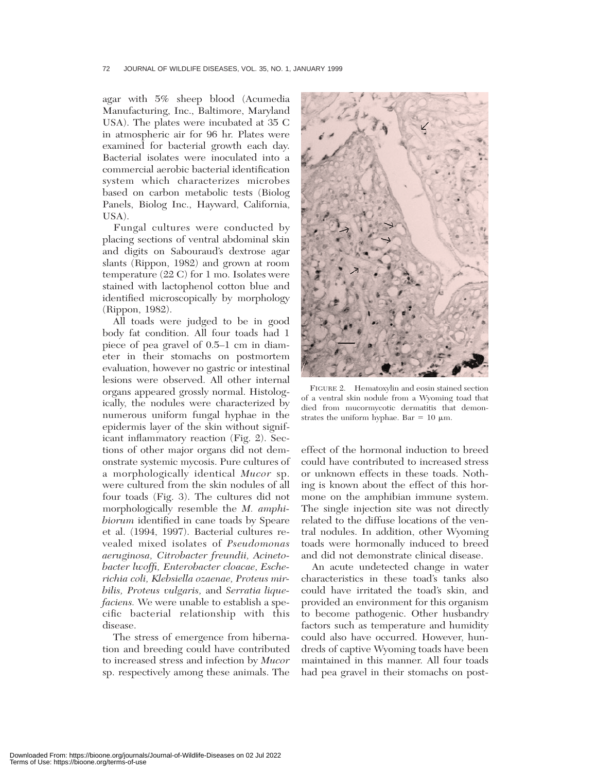## 72 JOURNAL OF WILDLIFE DISEASES, VOL. 35, NO. 1, JANUARY 1999

agar with 5% sheep blood (Acumedia Manufacturing, Inc., Baltimore, Maryland USA). The plates were incubated at 35 C in atmospheric air for 96 hr. Plates were examined for bacterial growth each day. Bacterial isolates were inoculated into a commercial aerobic bacterial identification system which characterizes microbes based on carbon metabolic tests (Biolog Panels, Biolog Inc., Hayward, California, USA).

Fungal cultures were conducted by placing sections of ventral abdominal skin and digits on Sabouraud's dextrose agar slants (Rippon, 1982) and grown at room temperature (22 C) for 1 mo. Isolates were stained with lactophenol cotton blue and identified microscopically by morphology (Rippon, 1982).

All toads were judged to be in good body fat condition. All four toads had 1 piece of pea gravel of 0.5–1 cm in diameter in their stomachs on postmortem evaluation, however no gastric or intestinal lesions were observed. All other internal organs appeared grossly normal. Histologically, the nodules were characterized by numerous uniform fungal hyphae in the epidermis layer of the skin without significant inflammatory reaction (Fig. 2). Sections of other major organs did not demonstrate systemic mycosis. Pure cultures of a morphologically identical *Mucor* sp. were cultured from the skin nodules of all four toads (Fig. 3). The cultures did not morphologically resemble the *M. amphibiorum* identified in cane toads by Speare et al. (1994, 1997). Bacterial cultures revealed mixed isolates of *Pseudomonas aeruginosa, Citrobacter freundii, Acinetobacter lwoffi, Enterobacter cloacae, Escherichia coli, Klebsiella ozaenae, Proteus mirbilis, Proteus vulgaris,* and *Serratia liquefaciens.* We were unable to establish a specific bacterial relationship with this disease.

The stress of emergence from hibernation and breeding could have contributed to increased stress and infection by *Mucor* sp. respectively among these animals. The



FIGURE 2. Hematoxylin and eosin stained section of a ventral skin nodule from a Wyoming toad that died from mucormycotic dermatitis that demonstrates the uniform hyphae. Bar =  $10 \mu m$ .

effect of the hormonal induction to breed could have contributed to increased stress or unknown effects in these toads. Nothing is known about the effect of this hormone on the amphibian immune system. The single injection site was not directly related to the diffuse locations of the ventral nodules. In addition, other Wyoming toads were hormonally induced to breed and did not demonstrate clinical disease.

An acute undetected change in water characteristics in these toad's tanks also could have irritated the toad's skin, and provided an environment for this organism to become pathogenic. Other husbandry factors such as temperature and humidity could also have occurred. However, hundreds of captive Wyoming toads have been maintained in this manner. All four toads had pea gravel in their stomachs on post-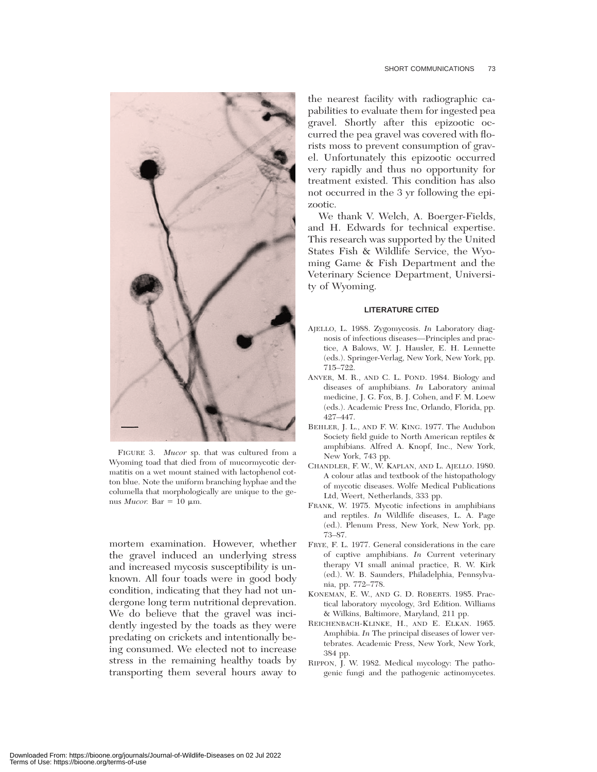

FIGURE 3. *Mucor* sp. that was cultured from a Wyoming toad that died from of mucormycotic dermatitis on a wet mount stained with lactophenol cotton blue. Note the uniform branching hyphae and the columella that morphologically are unique to the genus *Mucor*. Bar = 10  $\mu$ m.

mortem examination. However, whether the gravel induced an underlying stress and increased mycosis susceptibility is unknown. All four toads were in good body condition, indicating that they had not undergone long term nutritional deprevation. We do believe that the gravel was incidently ingested by the toads as they were predating on crickets and intentionally being consumed. We elected not to increase stress in the remaining healthy toads by transporting them several hours away to

the nearest facility with radiographic capabilities to evaluate them for ingested pea gravel. Shortly after this epizootic occurred the pea gravel was covered with florists moss to prevent consumption of gravel. Unfortunately this epizootic occurred very rapidly and thus no opportunity for treatment existed. This condition has also not occurred in the 3 yr following the epizootic.

We thank V. Welch, A. Boerger-Fields, and H. Edwards for technical expertise. This research was supported by the United States Fish & Wildlife Service, the Wyoming Game & Fish Department and the Veterinary Science Department, University of Wyoming.

## **LITERATURE CITED**

- AJELLO, L. 1988. Zygomycosis. *In* Laboratory diagnosis of infectious diseases—Principles and practice, A Balows, W. J. Hausler, E. H. Lennette (eds.). Springer-Verlag, New York, New York, pp. 715–722.
- ANVER, M. R., AND C. L. POND. 1984. Biology and diseases of amphibians. *In* Laboratory animal medicine, J. G. Fox, B. J. Cohen, and F. M. Loew (eds.). Academic Press Inc, Orlando, Florida, pp. 427–447.
- BEHLER, J. L., AND F. W. KING. 1977. The Audubon Society field guide to North American reptiles & amphibians. Alfred A. Knopf, Inc., New York, New York, 743 pp.
- CHANDLER, F. W., W. KAPLAN, AND L. AJELLO. 1980. A colour atlas and textbook of the histopathology of mycotic diseases. Wolfe Medical Publications Ltd, Weert, Netherlands, 333 pp.
- FRANK, W. 1975. Mycotic infections in amphibians and reptiles. *In* Wildlife diseases, L. A. Page (ed.). Plenum Press, New York, New York, pp. 73–87.
- FRYE, F. L. 1977. General considerations in the care of captive amphibians. *In* Current veterinary therapy VI small animal practice, R. W. Kirk (ed.). W. B. Saunders, Philadelphia, Pennsylvania, pp. 772–778.
- KONEMAN, E. W., AND G. D. ROBERTS. 1985. Practical laboratory mycology, 3rd Edition. Williams & Wilkins, Baltimore, Maryland, 211 pp.
- REICHENBACH-KLINKE, H., AND E. ELKAN. 1965. Amphibia. *In* The principal diseases of lower vertebrates. Academic Press, New York, New York, 384 pp.
- RIPPON, J. W. 1982. Medical mycology: The pathogenic fungi and the pathogenic actinomycetes.